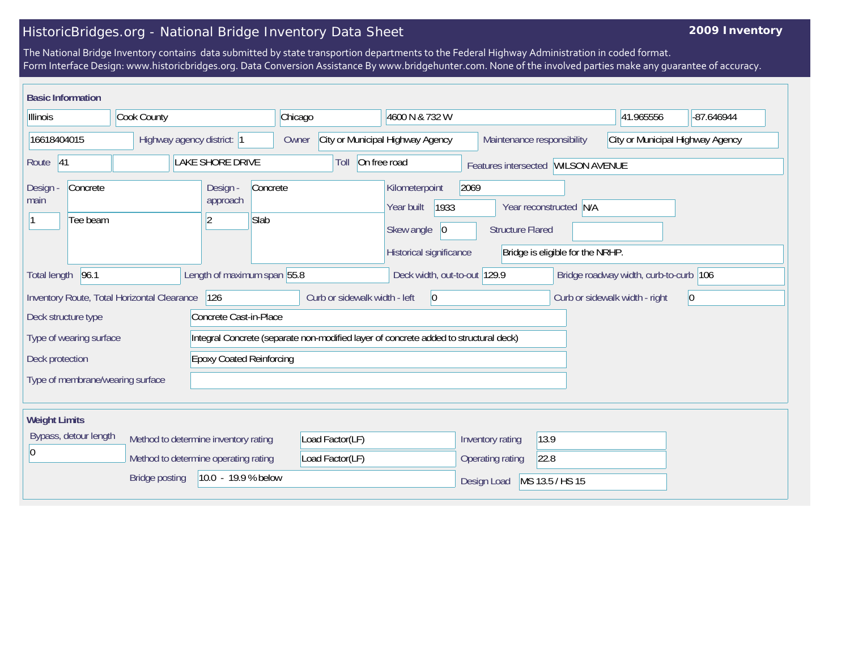## HistoricBridges.org - National Bridge Inventory Data Sheet

## **2009 Inventory**

The National Bridge Inventory contains data submitted by state transportion departments to the Federal Highway Administration in coded format. Form Interface Design: www.historicbridges.org. Data Conversion Assistance By www.bridgehunter.com. None of the involved parties make any guarantee of accuracy.

| <b>Basic Information</b>                           |                                      |                                                            |                 |                                                                |                                                                                      |                                 |                                                            |                                        |            |
|----------------------------------------------------|--------------------------------------|------------------------------------------------------------|-----------------|----------------------------------------------------------------|--------------------------------------------------------------------------------------|---------------------------------|------------------------------------------------------------|----------------------------------------|------------|
| Illinois                                           | Cook County                          |                                                            | Chicago         |                                                                | 4600 N & 732 W                                                                       |                                 |                                                            | 41.965556                              | -87.646944 |
| 16618404015<br>Highway agency district: 1          |                                      |                                                            | Owner           | City or Municipal Highway Agency<br>Maintenance responsibility |                                                                                      |                                 |                                                            | City or Municipal Highway Agency       |            |
| Route 41                                           |                                      | On free road<br>Toll<br>Features intersected WILSON AVENUE |                 |                                                                |                                                                                      |                                 |                                                            |                                        |            |
| Concrete<br>Design -<br>main<br>Tee beam           |                                      | Design -<br>approach<br>Slab<br>$\overline{2}$             | Concrete        |                                                                | Kilometerpoint<br>1933<br>Year built<br>Skew angle<br> 0 <br>Historical significance | 2069<br><b>Structure Flared</b> | Year reconstructed N/A<br>Bridge is eligible for the NRHP. |                                        |            |
| 96.1<br><b>Total length</b>                        |                                      | Length of maximum span 55.8                                |                 |                                                                | Deck width, out-to-out 129.9                                                         |                                 |                                                            | Bridge roadway width, curb-to-curb 106 |            |
| Inventory Route, Total Horizontal Clearance        |                                      | 126                                                        |                 | Curb or sidewalk width - left                                  | 0                                                                                    |                                 |                                                            | Curb or sidewalk width - right         | 0          |
| Deck structure type                                |                                      | Concrete Cast-in-Place                                     |                 |                                                                |                                                                                      |                                 |                                                            |                                        |            |
| Type of wearing surface                            |                                      |                                                            |                 |                                                                | Integral Concrete (separate non-modified layer of concrete added to structural deck) |                                 |                                                            |                                        |            |
| <b>Epoxy Coated Reinforcing</b><br>Deck protection |                                      |                                                            |                 |                                                                |                                                                                      |                                 |                                                            |                                        |            |
| Type of membrane/wearing surface                   |                                      |                                                            |                 |                                                                |                                                                                      |                                 |                                                            |                                        |            |
| <b>Weight Limits</b>                               |                                      |                                                            |                 |                                                                |                                                                                      |                                 |                                                            |                                        |            |
| Bypass, detour length                              | Method to determine inventory rating |                                                            | Load Factor(LF) |                                                                | Inventory rating                                                                     | 13.9                            |                                                            |                                        |            |
| $\overline{0}$                                     | Method to determine operating rating |                                                            | Load Factor(LF) |                                                                | Operating rating                                                                     | 22.8                            |                                                            |                                        |            |
|                                                    | <b>Bridge posting</b>                | 10.0 - 19.9 % below                                        |                 |                                                                |                                                                                      | MS 13.5 / HS 15<br>Design Load  |                                                            |                                        |            |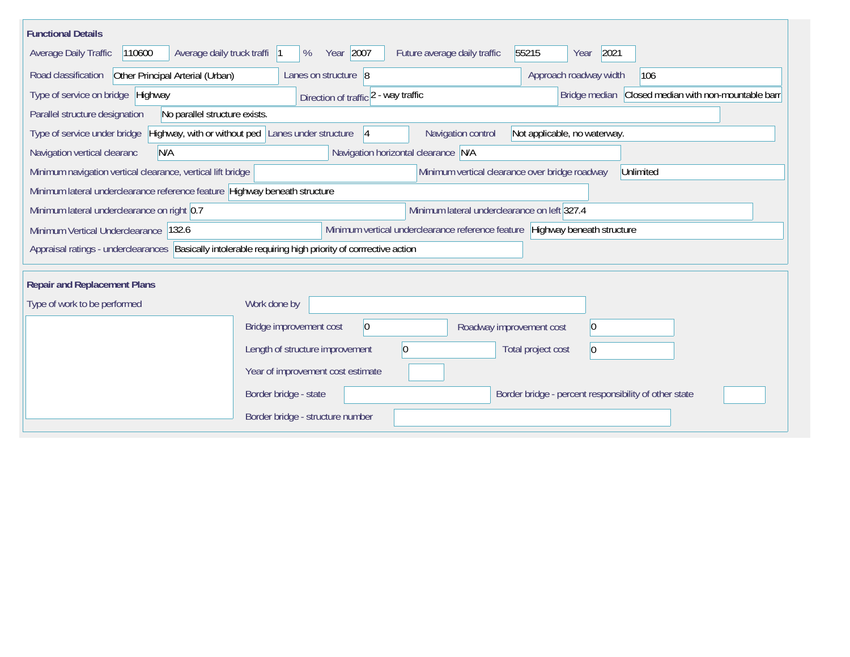| <b>Functional Details</b>                                                                                |                                                                                                                |
|----------------------------------------------------------------------------------------------------------|----------------------------------------------------------------------------------------------------------------|
| 110600<br>Average daily truck traffi  1<br>Average Daily Traffic                                         | Year 2007<br>55215<br>2021<br>Future average daily traffic<br>%<br>Year                                        |
| Road classification<br>Other Principal Arterial (Urban)                                                  | Lanes on structure 8<br>Approach roadway width<br>106                                                          |
| Type of service on bridge Highway                                                                        | Bridge median Closed median with non-mountable barr<br>Direction of traffic 2 - way traffic                    |
| No parallel structure exists.<br>Parallel structure designation                                          |                                                                                                                |
| Type of service under bridge                                                                             | Highway, with or without ped Lanes under structure<br>Navigation control<br>Not applicable, no waterway.<br> 4 |
| N/A<br>Navigation vertical clearanc                                                                      | Navigation horizontal clearance N/A                                                                            |
| Minimum navigation vertical clearance, vertical lift bridge                                              | Minimum vertical clearance over bridge roadway<br>Unlimited                                                    |
| Minimum lateral underclearance reference feature Highway beneath structure                               |                                                                                                                |
| Minimum lateral underclearance on right 0.7                                                              | Minimum lateral underclearance on left 327.4                                                                   |
| Minimum Vertical Underclearance<br>132.6                                                                 | Minimum vertical underclearance reference feature<br>Highway beneath structure                                 |
| Appraisal ratings - underclearances  Basically intolerable requiring high priority of corrrective action |                                                                                                                |
|                                                                                                          |                                                                                                                |
| <b>Repair and Replacement Plans</b>                                                                      |                                                                                                                |
| Type of work to be performed                                                                             | Work done by                                                                                                   |
|                                                                                                          | Bridge improvement cost<br> 0 <br> 0 <br>Roadway improvement cost                                              |
|                                                                                                          | Length of structure improvement<br>$\vert 0 \vert$<br>Total project cost<br>$\vert 0 \vert$                    |
|                                                                                                          | Year of improvement cost estimate                                                                              |
|                                                                                                          | Border bridge - state<br>Border bridge - percent responsibility of other state                                 |
|                                                                                                          | Border bridge - structure number                                                                               |